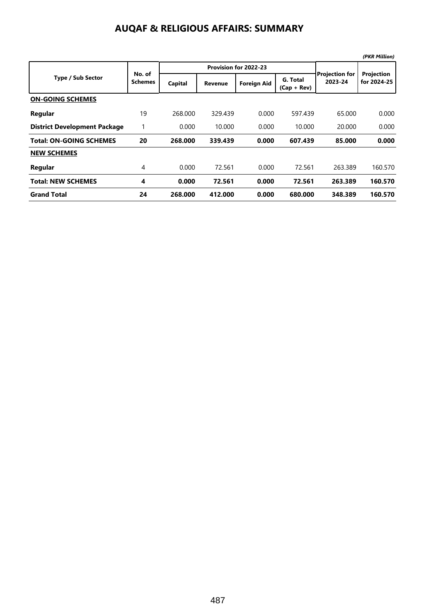### **AUQAF & RELIGIOUS AFFAIRS: SUMMARY**

|                                     |                          |         |                       |                    |                           |                                  | (PKR Million)             |
|-------------------------------------|--------------------------|---------|-----------------------|--------------------|---------------------------|----------------------------------|---------------------------|
| <b>Type / Sub Sector</b>            | No. of<br><b>Schemes</b> |         | Provision for 2022-23 |                    |                           |                                  |                           |
|                                     |                          | Capital | <b>Revenue</b>        | <b>Foreign Aid</b> | G. Total<br>$(Cap + Rev)$ | <b>Projection for</b><br>2023-24 | Projection<br>for 2024-25 |
| <b>ON-GOING SCHEMES</b>             |                          |         |                       |                    |                           |                                  |                           |
| Regular                             | 19                       | 268,000 | 329.439               | 0.000              | 597.439                   | 65.000                           | 0.000                     |
| <b>District Development Package</b> |                          | 0.000   | 10.000                | 0.000              | 10.000                    | 20,000                           | 0.000                     |
| <b>Total: ON-GOING SCHEMES</b>      | 20                       | 268.000 | 339.439               | 0.000              | 607.439                   | 85.000                           | 0.000                     |
| <b>NEW SCHEMES</b>                  |                          |         |                       |                    |                           |                                  |                           |
| Regular                             | 4                        | 0.000   | 72.561                | 0.000              | 72.561                    | 263.389                          | 160.570                   |
| <b>Total: NEW SCHEMES</b>           | 4                        | 0.000   | 72.561                | 0.000              | 72.561                    | 263.389                          | 160.570                   |
| <b>Grand Total</b>                  | 24                       | 268,000 | 412.000               | 0.000              | 680,000                   | 348.389                          | 160.570                   |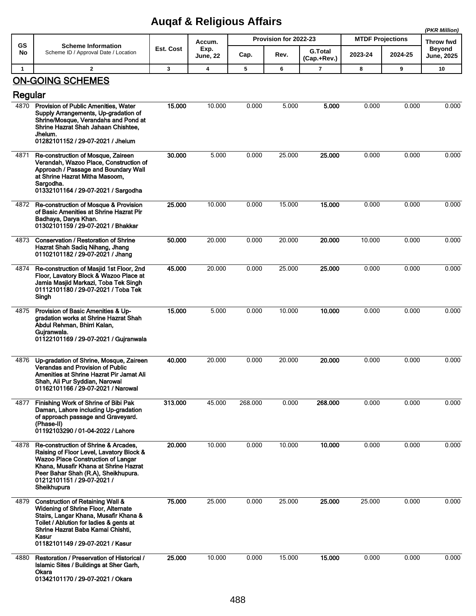## **Auqaf & Religious Affairs**

|              |                                                                                                                                                                                                                                                          |           | $\overline{\phantom{a}}$ |         |                       |                               |                         |         | (PKR Million)                      |
|--------------|----------------------------------------------------------------------------------------------------------------------------------------------------------------------------------------------------------------------------------------------------------|-----------|--------------------------|---------|-----------------------|-------------------------------|-------------------------|---------|------------------------------------|
| <b>GS</b>    | <b>Scheme Information</b>                                                                                                                                                                                                                                |           | Accum.                   |         | Provision for 2022-23 |                               | <b>MTDF Projections</b> |         | Throw fwd                          |
| No           | Scheme ID / Approval Date / Location                                                                                                                                                                                                                     | Est. Cost | Exp.<br>June, 22         | Cap.    | Rev.                  | <b>G.Total</b><br>(Cap.+Rev.) | 2023-24                 | 2024-25 | <b>Beyond</b><br><b>June, 2025</b> |
| $\mathbf{1}$ | $\mathbf{2}$                                                                                                                                                                                                                                             | 3         | 4                        | 5       | 6                     | 7                             | 8                       | 9       | 10                                 |
|              | <b>ON-GOING SCHEMES</b>                                                                                                                                                                                                                                  |           |                          |         |                       |                               |                         |         |                                    |
| Regular      |                                                                                                                                                                                                                                                          |           |                          |         |                       |                               |                         |         |                                    |
| 4870         | Provision of Public Amenities, Water<br>Supply Arrangements, Up-gradation of<br>Shrine/Mosque, Verandahs and Pond at<br>Shrine Hazrat Shah Jahaan Chishtee,<br>Jhelum.<br>01282101152 / 29-07-2021 / Jhelum                                              | 15.000    | 10.000                   | 0.000   | 5.000                 | 5.000                         | 0.000                   | 0.000   | 0.000                              |
| 4871         | Re-construction of Mosque, Zaireen<br>Verandah, Wazoo Place, Construction of<br>Approach / Passage and Boundary Wall<br>at Shrine Hazrat Mitha Masoom,<br>Sargodha.<br>01332101164 / 29-07-2021 / Sargodha                                               | 30.000    | 5.000                    | 0.000   | 25.000                | 25.000                        | 0.000                   | 0.000   | 0.000                              |
| 4872         | Re-construction of Mosque & Provision<br>of Basic Amenities at Shrine Hazrat Pir<br>Badhaya, Darya Khan.<br>01302101159 / 29-07-2021 / Bhakkar                                                                                                           | 25.000    | 10.000                   | 0.000   | 15.000                | 15.000                        | 0.000                   | 0.000   | 0.000                              |
| 4873         | <b>Conservation / Restoration of Shrine</b><br>Hazrat Shah Sadig Nihang, Jhang<br>01102101182 / 29-07-2021 / Jhang                                                                                                                                       | 50.000    | 20.000                   | 0.000   | 20.000                | 20.000                        | 10.000                  | 0.000   | 0.000                              |
| 4874         | Re-construction of Masjid 1st Floor, 2nd<br>Floor, Lavatory Block & Wazoo Place at<br>Jamia Masjid Markazi, Toba Tek Singh<br>01112101180 / 29-07-2021 / Toba Tek<br>Singh                                                                               | 45.000    | 20.000                   | 0.000   | 25.000                | 25.000                        | 0.000                   | 0.000   | 0.000                              |
| 4875         | Provision of Basic Amenities & Up-<br>gradation works at Shrine Hazrat Shah<br>Abdul Rehman, Bhirri Kalan,<br>Gujranwala.<br>01122101169 / 29-07-2021 / Gujranwala                                                                                       | 15.000    | 5.000                    | 0.000   | 10.000                | 10.000                        | 0.000                   | 0.000   | 0.000                              |
| 4876         | Up-gradation of Shrine, Mosque, Zaireen<br><b>Verandas and Provision of Public</b><br>Amenities at Shrine Hazrat Pir Jamat Ali<br>Shah, Ali Pur Syddian, Narowal<br>01162101166 / 29-07-2021 / Narowal                                                   | 40.000    | 20.000                   | 0.000   | 20.000                | 20.000                        | 0.000                   | 0.000   | 0.000                              |
| 4877         | Finishing Work of Shrine of Bibi Pak<br>Daman, Lahore including Up-gradation<br>of approach passage and Graveyard.<br>(Phase-II)<br>01192103290 / 01-04-2022 / Lahore                                                                                    | 313.000   | 45.000                   | 268.000 | 0.000                 | 268.000                       | 0.000                   | 0.000   | 0.000                              |
| 4878         | Re-construction of Shrine & Arcades,<br>Raising of Floor Level, Lavatory Block &<br>Wazoo Place Construction of Langar<br>Khana, Musafir Khana at Shrine Hazrat<br>Peer Bahar Shah (R.A), Sheikhupura.<br>01212101151 / 29-07-2021 /<br>Sheikhupura      | 20.000    | 10.000                   | 0.000   | 10.000                | 10.000                        | 0.000                   | 0.000   | 0.000                              |
| 4879         | <b>Construction of Retaining Wall &amp;</b><br>Widening of Shrine Floor, Alternate<br>Stairs, Langar Khana, Musafir Khana &<br>Toilet / Ablution for ladies & gents at<br>Shrine Hazrat Baba Kamal Chishti,<br>Kasur<br>01182101149 / 29-07-2021 / Kasur | 75.000    | 25.000                   | 0.000   | 25.000                | 25.000                        | 25.000                  | 0.000   | 0.000                              |
| 4880         | Restoration / Preservation of Historical /<br>Islamic Sites / Buildings at Sher Garh,<br>Okara<br>01342101170 / 29-07-2021 / Okara                                                                                                                       | 25.000    | 10.000                   | 0.000   | 15.000                | 15.000                        | 0.000                   | 0.000   | 0.000                              |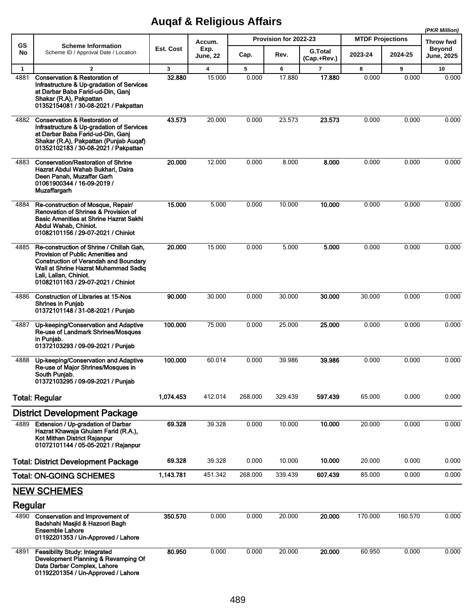# **Auqaf & Religious Affairs**

|              |                                                                                                                                                                                                                                       |              |                  |                       |         |                               |                         | (PKR Million) |                            |
|--------------|---------------------------------------------------------------------------------------------------------------------------------------------------------------------------------------------------------------------------------------|--------------|------------------|-----------------------|---------|-------------------------------|-------------------------|---------------|----------------------------|
| GS           | <b>Scheme Information</b><br>Scheme ID / Approval Date / Location                                                                                                                                                                     | Est. Cost    | Accum.           | Provision for 2022-23 |         |                               | <b>MTDF Projections</b> |               | Throw fwd<br><b>Beyond</b> |
| No           |                                                                                                                                                                                                                                       |              | Exp.<br>June, 22 | Cap.                  | Rev.    | <b>G.Total</b><br>(Cap.+Rev.) | 2023-24                 | 2024-25       | <b>June, 2025</b>          |
| $\mathbf{1}$ | $\overline{\mathbf{2}}$                                                                                                                                                                                                               | $\mathbf{3}$ | 4                | 5                     | 6       | $\overline{7}$                | 8                       | 9             | 10                         |
| 4881         | <b>Conservation &amp; Restoration of</b><br>Infrastructure & Up-gradation of Services<br>at Darbar Baba Farid-ud-Din, Ganj<br>Shakar (R.A), Pakpattan<br>01352154081 / 30-08-2021 / Pakpattan                                         | 32.880       | 15.000           | 0.000                 | 17.880  | 17.880                        | 0.000                   | 0.000         | 0.000                      |
| 4882         | <b>Conservation &amp; Restoration of</b><br>Infrastructure & Up-gradation of Services<br>at Darbar Baba Farid-ud-Din, Ganj<br>Shakar (R.A), Pakpattan (Punjab Augaf)<br>01352102183 / 30-08-2021 / Pakpattan                          | 43.573       | 20.000           | 0.000                 | 23.573  | 23.573                        | 0.000                   | 0.000         | 0.000                      |
| 4883         | <b>Conservation/Restoration of Shrine</b><br>Hazrat Abdul Wahab Bukhari, Daira<br>Deen Panah, Muzaffar Garh<br>01061900344 / 16-09-2019 /<br><b>Muzaffargarh</b>                                                                      | 20.000       | 12.000           | 0.000                 | 8.000   | 8.000                         | 0.000                   | 0.000         | 0.000                      |
| 4884         | Re-construction of Mosque, Repair/<br>Renovation of Shrines & Provision of<br><b>Basic Amenities at Shrine Hazrat Sakhi</b><br>Abdul Wahab, Chiniot.<br>01082101156 / 29-07-2021 / Chiniot                                            | 15.000       | 5.000            | 0.000                 | 10.000  | 10.000                        | 0.000                   | 0.000         | 0.000                      |
| 4885         | Re-construction of Shrine / Chillah Gah,<br>Provision of Public Amenities and<br><b>Construction of Verandah and Boundary</b><br>Wall at Shrine Hazrat Muhammad Sadiq<br>Lali, Lalian, Chiniot.<br>01082101163 / 29-07-2021 / Chiniot | 20.000       | 15.000           | 0.000                 | 5.000   | 5.000                         | 0.000                   | 0.000         | 0.000                      |
| 4886         | <b>Construction of Libraries at 15-Nos</b><br><b>Shrines in Punjab</b><br>01372101148 / 31-08-2021 / Punjab                                                                                                                           | 90.000       | 30.000           | 0.000                 | 30.000  | 30,000                        | 30.000                  | 0.000         | 0.000                      |
| 4887         | Up-keeping/Conservation and Adaptive<br>Re-use of Landmark Shrines/Mosques<br>in Punjab.<br>01372103293 / 09-09-2021 / Punjab                                                                                                         | 100.000      | 75.000           | 0.000                 | 25.000  | 25.000                        | 0.000                   | 0.000         | 0.000                      |
| 4888         | Up-keeping/Conservation and Adaptive<br>Re-use of Major Shrines/Mosques in<br>South Punjab.<br>01372103295 / 09-09-2021 / Punjab                                                                                                      | 100.000      | 60.014           | 0.000                 | 39.986  | 39.986                        | 0.000                   | 0.000         | 0.000                      |
|              | <b>Total: Regular</b>                                                                                                                                                                                                                 | 1,074.453    | 412.014          | 268.000               | 329.439 | 597.439                       | 65.000                  | 0.000         | 0.000                      |
|              | <b>District Development Package</b>                                                                                                                                                                                                   |              |                  |                       |         |                               |                         |               |                            |
| 4889         | Extension / Up-gradation of Darbar<br>Hazrat Khawaja Ghulam Farid (R.A.),<br>Kot Mithan District Rajanpur<br>01072101144 / 05-05-2021 / Rajanpur                                                                                      | 69.328       | 39.328           | 0.000                 | 10.000  | 10.000                        | 20.000                  | 0.000         | 0.000                      |
|              | <b>Total: District Development Package</b>                                                                                                                                                                                            | 69.328       | 39.328           | 0.000                 | 10.000  | 10.000                        | 20.000                  | 0.000         | 0.000                      |
|              | <b>Total: ON-GOING SCHEMES</b>                                                                                                                                                                                                        | 1,143.781    | 451.342          | 268.000               | 339.439 | 607.439                       | 85.000                  | 0.000         | 0.000                      |
|              | <b>NEW SCHEMES</b>                                                                                                                                                                                                                    |              |                  |                       |         |                               |                         |               |                            |
| Regular      |                                                                                                                                                                                                                                       |              |                  |                       |         |                               |                         |               |                            |
| 4890         | Conservation and Improvement of<br>Badshahi Masjid & Hazoori Bagh<br><b>Ensemble Lahore</b><br>01192201353 / Un-Approved / Lahore                                                                                                     | 350.570      | 0.000            | 0.000                 | 20.000  | 20.000                        | 170.000                 | 160.570       | 0.000                      |
| 4891         | <b>Feasibility Study: Integrated</b><br>Development Planning & Revamping Of<br>Data Darbar Complex, Lahore<br>01192201354 / Un-Approved / Lahore                                                                                      | 80.950       | 0.000            | 0.000                 | 20.000  | 20.000                        | 60.950                  | 0.000         | 0.000                      |